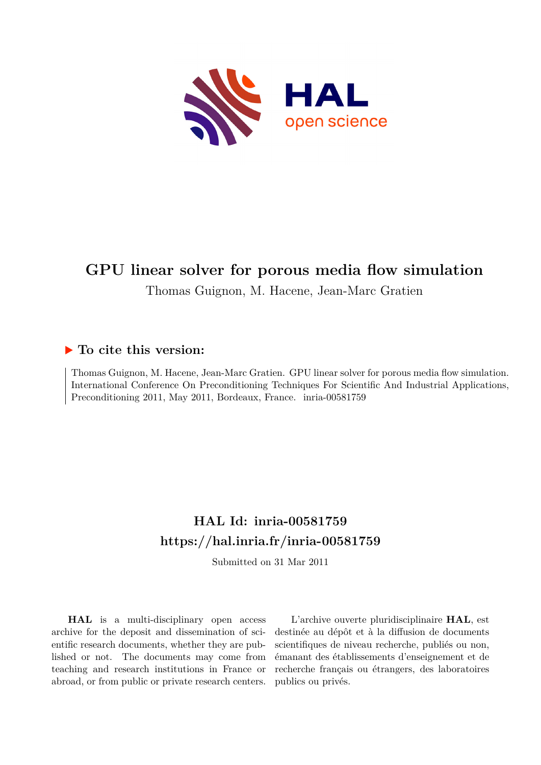

## **GPU linear solver for porous media flow simulation**

Thomas Guignon, M. Hacene, Jean-Marc Gratien

#### **To cite this version:**

Thomas Guignon, M. Hacene, Jean-Marc Gratien. GPU linear solver for porous media flow simulation. International Conference On Preconditioning Techniques For Scientific And Industrial Applications, Preconditioning 2011, May 2011, Bordeaux, France. inria-00581759

# **HAL Id: inria-00581759 <https://hal.inria.fr/inria-00581759>**

Submitted on 31 Mar 2011

**HAL** is a multi-disciplinary open access archive for the deposit and dissemination of scientific research documents, whether they are published or not. The documents may come from teaching and research institutions in France or abroad, or from public or private research centers.

L'archive ouverte pluridisciplinaire **HAL**, est destinée au dépôt et à la diffusion de documents scientifiques de niveau recherche, publiés ou non, émanant des établissements d'enseignement et de recherche français ou étrangers, des laboratoires publics ou privés.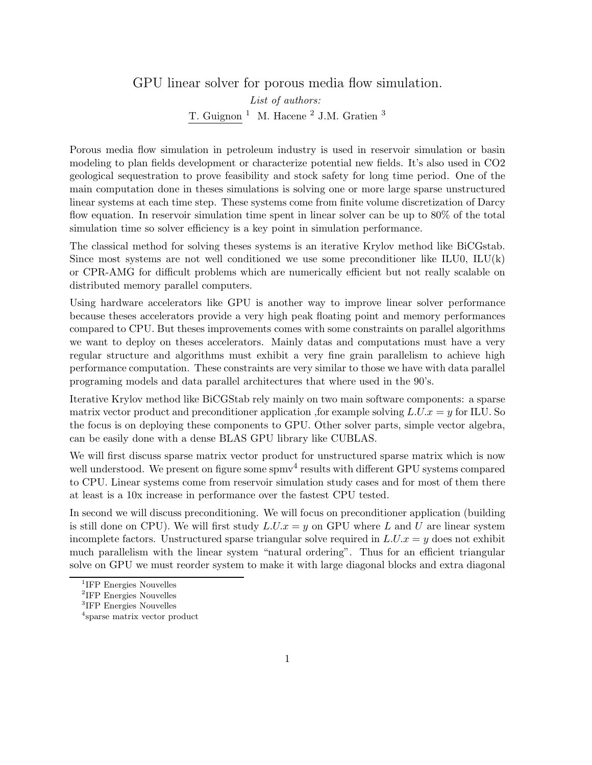### GPU linear solver for porous media flow simulation. List of authors: T. Guignon<sup>1</sup> M. Hacene<sup>2</sup> J.M. Gratien<sup>3</sup>

Porous media flow simulation in petroleum industry is used in reservoir simulation or basin modeling to plan fields development or characterize potential new fields. It's also used in CO2 geological sequestration to prove feasibility and stock safety for long time period. One of the main computation done in theses simulations is solving one or more large sparse unstructured linear systems at each time step. These systems come from finite volume discretization of Darcy flow equation. In reservoir simulation time spent in linear solver can be up to 80% of the total simulation time so solver efficiency is a key point in simulation performance.

The classical method for solving theses systems is an iterative Krylov method like BiCGstab. Since most systems are not well conditioned we use some preconditioner like ILU0,  $\text{ILU}(k)$ or CPR-AMG for difficult problems which are numerically efficient but not really scalable on distributed memory parallel computers.

Using hardware accelerators like GPU is another way to improve linear solver performance because theses accelerators provide a very high peak floating point and memory performances compared to CPU. But theses improvements comes with some constraints on parallel algorithms we want to deploy on theses accelerators. Mainly datas and computations must have a very regular structure and algorithms must exhibit a very fine grain parallelism to achieve high performance computation. These constraints are very similar to those we have with data parallel programing models and data parallel architectures that where used in the 90's.

Iterative Krylov method like BiCGStab rely mainly on two main software components: a sparse matrix vector product and preconditioner application, for example solving  $L.U.x = y$  for ILU. So the focus is on deploying these components to GPU. Other solver parts, simple vector algebra, can be easily done with a dense BLAS GPU library like CUBLAS.

We will first discuss sparse matrix vector product for unstructured sparse matrix which is now well understood. We present on figure some spmv<sup>4</sup> results with different GPU systems compared to CPU. Linear systems come from reservoir simulation study cases and for most of them there at least is a 10x increase in performance over the fastest CPU tested.

In second we will discuss preconditioning. We will focus on preconditioner application (building is still done on CPU). We will first study  $L.U.x = y$  on GPU where L and U are linear system incomplete factors. Unstructured sparse triangular solve required in  $L.U.x = y$  does not exhibit much parallelism with the linear system "natural ordering". Thus for an efficient triangular solve on GPU we must reorder system to make it with large diagonal blocks and extra diagonal

<sup>&</sup>lt;sup>1</sup>IFP Energies Nouvelles

<sup>2</sup> IFP Energies Nouvelles

<sup>3</sup> IFP Energies Nouvelles

<sup>4</sup> sparse matrix vector product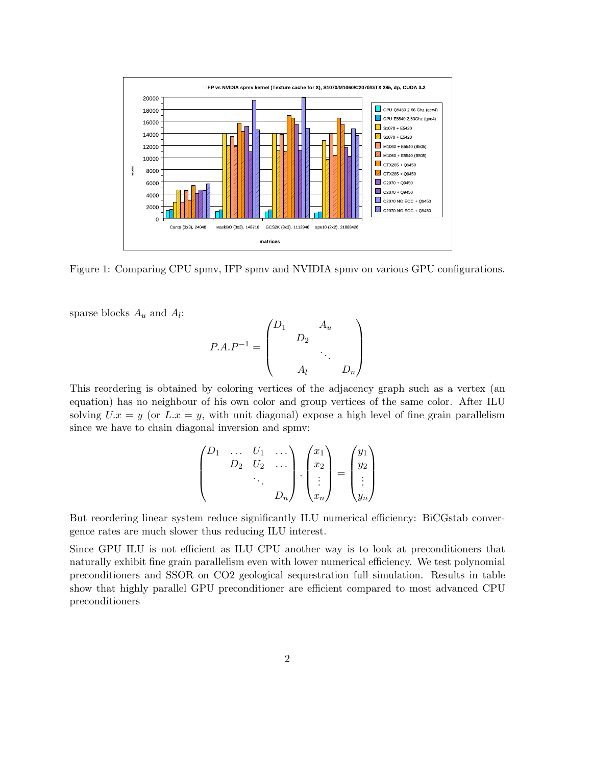

Figure 1: Comparing CPU spmv, IFP spmv and NVIDIA spmv on various GPU configurations.

sparse blocks  $A_u$  and  $A_l$ :

$$
P.A.P^{-1} = \begin{pmatrix} D_1 & A_u & & \\ & D_2 & & \\ & & \ddots & \\ & & & D_n \end{pmatrix}
$$

This reordering is obtained by coloring vertices of the adjacency graph such as a vertex (an equation) has no neighbour of his own color and group vertices of the same color. After ILU solving  $U.x = y$  (or  $L.x = y$ , with unit diagonal) expose a high level of fine grain parallelism since we have to chain diagonal inversion and spmv:

$$
\begin{pmatrix} D_1 & \dots & U_1 & \dots \\ & D_2 & U_2 & \dots \\ & & \ddots & \\ & & & D_n \end{pmatrix} \cdot \begin{pmatrix} x_1 \\ x_2 \\ \vdots \\ x_n \end{pmatrix} = \begin{pmatrix} y_1 \\ y_2 \\ \vdots \\ y_n \end{pmatrix}
$$

But reordering linear system reduce significantly ILU numerical efficiency: BiCGstab convergence rates are much slower thus reducing ILU interest.

Since GPU ILU is not efficient as ILU CPU another way is to look at preconditioners that naturally exhibit fine grain parallelism even with lower numerical efficiency. We test polynomial preconditioners and SSOR on CO2 geological sequestration full simulation. Results in table show that highly parallel GPU preconditioner are efficient compared to most advanced CPU preconditioners